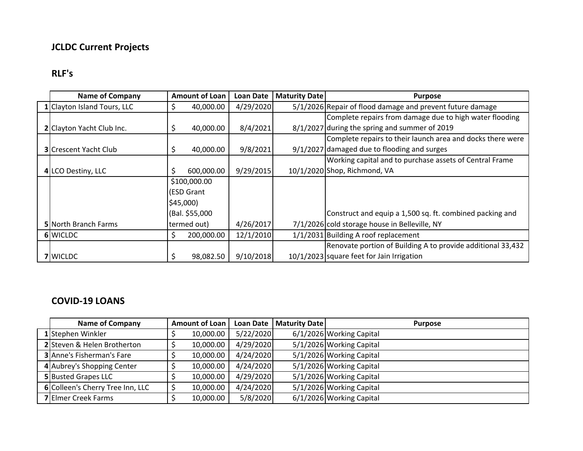## **JCLDC Current Projects**

## **RLF's**

| <b>Name of Company</b>       |                | <b>Amount of Loan</b> | <b>Loan Date</b> | <b>Maturity Date</b> | <b>Purpose</b>                                              |
|------------------------------|----------------|-----------------------|------------------|----------------------|-------------------------------------------------------------|
| 1 Clayton Island Tours, LLC  |                | 40,000.00             | 4/29/2020        |                      | 5/1/2026 Repair of flood damage and prevent future damage   |
|                              |                |                       |                  |                      | Complete repairs from damage due to high water flooding     |
| 2 Clayton Yacht Club Inc.    |                | 40,000.00             | 8/4/2021         |                      | 8/1/2027 during the spring and summer of 2019               |
|                              |                |                       |                  |                      | Complete repairs to their launch area and docks there were  |
| <b>3</b> Crescent Yacht Club | Ş              | 40,000.00             | 9/8/2021         |                      | $9/1/2027$ damaged due to flooding and surges               |
|                              |                |                       |                  |                      | Working capital and to purchase assets of Central Frame     |
| 4 LCO Destiny, LLC           |                | 600,000.00            | 9/29/2015        |                      | 10/1/2020 Shop, Richmond, VA                                |
|                              | \$100,000.00   |                       |                  |                      |                                                             |
|                              | (ESD Grant     |                       |                  |                      |                                                             |
|                              | \$45,000       |                       |                  |                      |                                                             |
|                              | (Bal. \$55,000 |                       |                  |                      | Construct and equip a 1,500 sq. ft. combined packing and    |
| 5 North Branch Farms         | termed out)    |                       | 4/26/2017        |                      | 7/1/2026 cold storage house in Belleville, NY               |
| 6 WICLDC                     |                | 200,000.00            | 12/1/2010        |                      | 1/1/2031 Building A roof replacement                        |
|                              |                |                       |                  |                      | Renovate portion of Building A to provide additional 33,432 |
| 7 WICLDC                     |                | 98,082.50             | 9/10/2018        |                      | 10/1/2023 square feet for Jain Irrigation                   |

## **COVID-19 LOANS**

| <b>Name of Company</b>           | <b>Amount of Loan</b> |           |           | Loan Date   Maturity Date | <b>Purpose</b>           |
|----------------------------------|-----------------------|-----------|-----------|---------------------------|--------------------------|
| 1 Stephen Winkler                |                       | 10,000.00 | 5/22/2020 |                           | 6/1/2026 Working Capital |
| 2 Steven & Helen Brotherton      |                       | 10,000.00 | 4/29/2020 |                           | 5/1/2026 Working Capital |
| <b>3</b> Anne's Fisherman's Fare |                       | 10,000.00 | 4/24/2020 |                           | 5/1/2026 Working Capital |
| 4 Aubrey's Shopping Center       |                       | 10,000.00 | 4/24/2020 |                           | 5/1/2026 Working Capital |
| <b>5</b> Busted Grapes LLC       |                       | 10,000.00 | 4/29/2020 |                           | 5/1/2026 Working Capital |
| 6 Colleen's Cherry Tree Inn, LLC |                       | 10,000.00 | 4/24/2020 |                           | 5/1/2026 Working Capital |
| <b>7</b> Elmer Creek Farms       |                       | 10,000.00 | 5/8/2020  |                           | 6/1/2026 Working Capital |